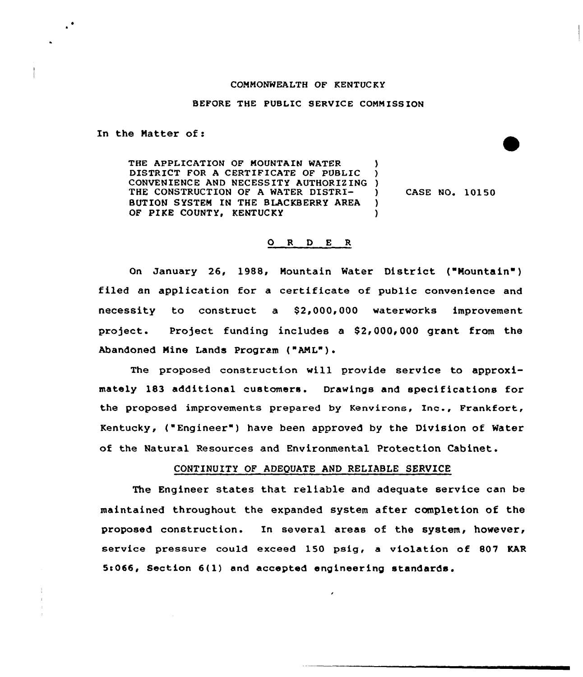#### COMMONWEALTH OF RENTUC RY

### BEFORE THE PUBLIC SERVICE COMMISSION

In the Natter of:

THE APPLICATION OF MOUNTAIN WATER DISTRICT FOR A CERTIFICATE OF PUBLIC CONVENIENCE AND NECESSITY AUTHORIZING ) THE CONSTRUCTION OF A WATER DISTRI-BUTION SYSTEM IN THE BLACKBERRY AREA OF PIKE COUNTY, KENTUCKY ) ) )

) CASE NO. 10150

#### 0 <sup>R</sup> <sup>D</sup> <sup>E</sup> <sup>R</sup>

On January 26, 1988, Mountain Water District {"Mountain") filed an application for a certificate of public convenience and necessity to construct a \$2,000,000 waterworks improvement project. Project funding includes a  $$2,000,000$  grant from the Abandoned Nine Lands Program {"ANL") <sup>~</sup>

The proposed construction will provide service to approximately 183 additional customers. Drawings and specifications for the proposed improvements prepared by Renvirons, Xnc., Frankfort, Kentucky, {"Engineer" ) have been approved by the Division of Water of the Natural Resources and Environmental Protection Cabinet.

## CONTINUITY OF ADEQUATE AND RELIABLE SERVICE

The Engineer states that reliable and adequate service can be maintained throughout the expanded system after completion of the proposed construction. In several areas of the system, however, service pressure could exceed 150 psig, a violation of 807 KAR 5:066, Section 6(1) and accepted engineering standards.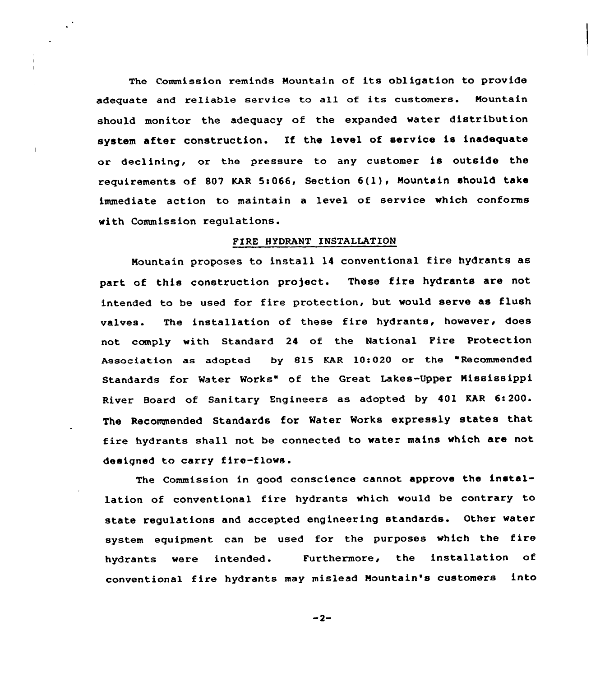The Commission reminds Mountain of its obligation to provide adequate and reliable service to all of its customers. Mountain should monitor the adequacy of the expanded water distribution system after construction. If the level of service is inadequate or declining, or the pressure to any customer is outside the requirements of 807 KAR 5:066, Section  $6(1)$ , Mountain should take immediate action to maintain a level of service which conforms with Commission regulations.

# FIRE HYDRANT INSTALLATION

Mountain proposes to install 14 conventional fire hydrants as part of this construction project. These fire hydrants are not intended to be used for fire protection, but would serve as flush valves. The installation of these fire hydrants, however, does not comply with Standard 24 of the National Pire protection Association as adopted by 815 KAR 10:020 or the "Recommended Standards for Water Works" of the Great Lakes-Upper Mississippi River Board of Sanitary Engineers as adopted by 401 KAR 6:200. The Recommended Standards for Water Works expressly states that fire hydrants shall not be connected to water mains which are not designed to carry fire-flows.

The Commission in good conscience cannot approve the installation of conventional fire hydrants which would be contrary to state regulations and accepted engineering standards. Other water system equipment can be used for the purposes which the fire hydrants were intended. Furthermore, the installation of conventional fire hydrants may mislead Mountain's customers into

 $-2-$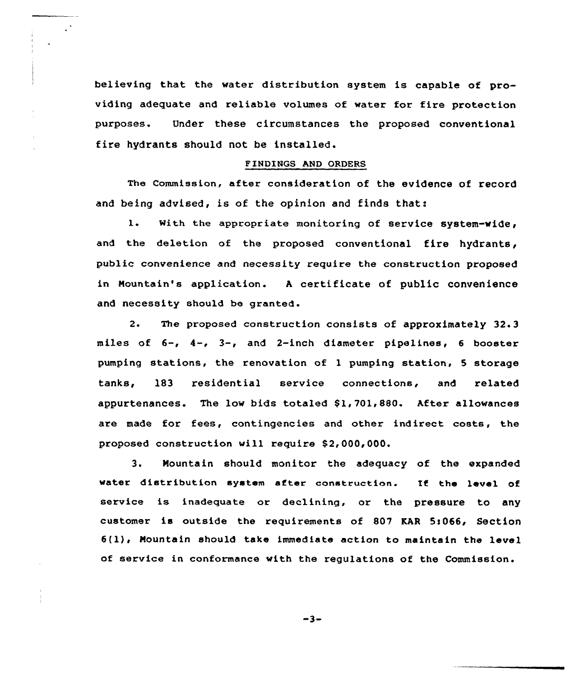believing that the water distribution system is capable of providing adequate and reliable volumes of water for fire protection purposes. Under these circumstances the proposed conventional fire hydrants should not be installed.

## FINDINGS AND ORDERS

The commission, after consideration of the evidence of record and being advised, is of the opinion and finds that:

1. With the appropriate monitoring of service system-wide, and the deletion of the proposed conventional fire hydrants, public convenience and necessity require the construction proposed in Mountain's application. <sup>A</sup> certificate of public convenience and necessity should be granted.

2. The proposed construction consists of approximately 32.3 miles of  $6-$ ,  $4-$ ,  $3-$ , and 2-inch diameter pipelines, 6 booster pumping stations, the renovation of 1 pumping station, <sup>5</sup> storage tanks, 183 residential service connections, and related appurtenances. The low bids totaled \$1,701,880. After allowances are made for fees, contingencies and other indirect costs, the proposed construction will require \$2,000,000.

3. Mountain should monitor the adequacy of the expanded water distribution system after construction. If the level of service is inadequate or declining, or the pressure to any customer is outside the requirements of 807 KAR 5:066, Section  $6(1)$ , Mountain should take immediate action to maintain the level of service in conformance with the regulations of the Commission.

 $-3-$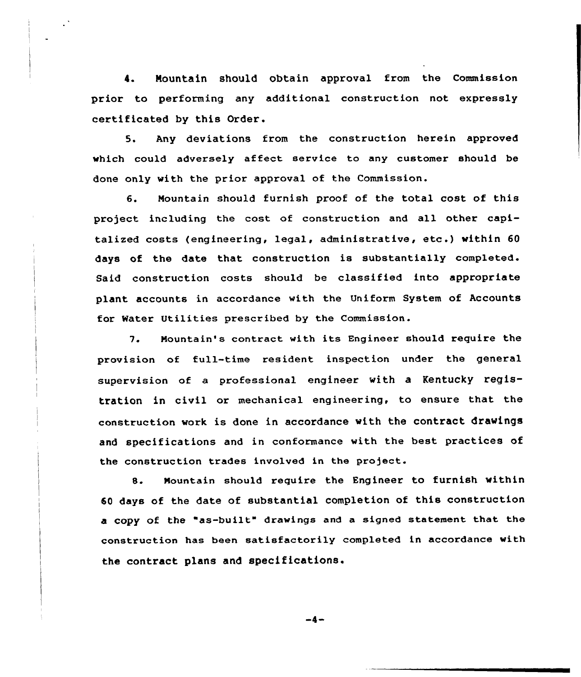4. Nountain should obtain approval from the Commission prior to performing any additional construction not expressly certificated by this Order.

5. Any deviations from the construction herein approved which could adversely affect service to any customer should be done only with the prior approval of the Commission.

6. Nountain should furnish proof of the total cost of this project including the cost of construction and all other capitalized costs (engineering, legal, administrative, etc .) within <sup>60</sup> days of the date that construction is substantially completed. Said construction costs should be classified into appropriate plant accounts in accordance with the Uniform System of Accounts for Water Utilities prescribed by the Commission.

7. Nountain's contract with its Engineer should require the provision of full-time resident inspection under the general supervision of a professional engineer with a Kentucky registration in civil or mechanical engineering, to ensure that the construction work is done in accordance with the contract drawings and specifications and in conformance with the best practices of the construction trades involved in the project.

8. Nountain should require the Engineer to furnish within 60 days of the date of substantial completion of this construction a copy of the "as-built" drawings and a signed statement that the construction has been satisfactorily completed in accordance with the contract plans and specifications.

 $-4-$